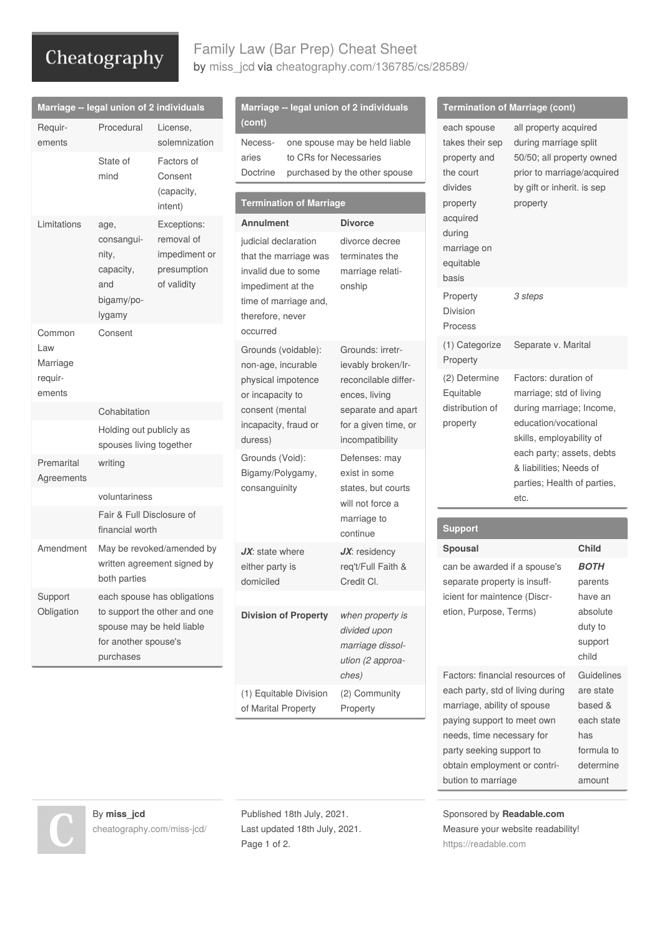# Cheatography

## Family Law (Bar Prep) Cheat Sheet by [miss\\_jcd](http://www.cheatography.com/miss-jcd/) via [cheatography.com/136785/cs/28589/](http://www.cheatography.com/miss-jcd/cheat-sheets/family-law-bar-prep)

|                                      | Marriage -- legal union of 2 individuals                                                                                       |                                                                             | Marriage -- legal union of 2 individuals                                                                                                                               |                                                                                                                                                | <b>Termination of Marriage (cont)</b>                                                         |                                                                                                                                                     |                                         |
|--------------------------------------|--------------------------------------------------------------------------------------------------------------------------------|-----------------------------------------------------------------------------|------------------------------------------------------------------------------------------------------------------------------------------------------------------------|------------------------------------------------------------------------------------------------------------------------------------------------|-----------------------------------------------------------------------------------------------|-----------------------------------------------------------------------------------------------------------------------------------------------------|-----------------------------------------|
| Requir-<br>ements                    | Procedural<br>State of<br>mind                                                                                                 | License,<br>solemnization<br>Factors of<br>Consent<br>(capacity,<br>intent) | (cont)<br>Necess-<br>aries<br>to CRs for Necessaries<br>Doctrine<br><b>Termination of Marriage</b>                                                                     | one spouse may be held liable<br>purchased by the other spouse                                                                                 | each spouse<br>takes their sep<br>property and<br>the court<br>divides<br>property            | all property acquired<br>during marriage split<br>50/50; all property owned<br>prior to marriage/acquired<br>by gift or inherit. is sep<br>property |                                         |
| Limitations                          | age,<br>consangui-<br>nity,<br>capacity,<br>and<br>bigamy/po-<br>lygamy<br>Consent                                             | Exceptions:<br>removal of<br>impediment or<br>presumption<br>of validity    | <b>Annulment</b><br>judicial declaration<br>that the marriage was<br>invalid due to some<br>impediment at the<br>time of marriage and,<br>therefore, never<br>occurred | <b>Divorce</b><br>divorce decree<br>terminates the<br>marriage relati-<br>onship                                                               | acquired<br>during<br>marriage on<br>equitable<br>basis                                       |                                                                                                                                                     |                                         |
| Common                               |                                                                                                                                |                                                                             |                                                                                                                                                                        |                                                                                                                                                | Property<br>Division<br>Process                                                               | 3 steps                                                                                                                                             |                                         |
| Law<br>Marriage<br>requir-<br>ements |                                                                                                                                |                                                                             | Grounds (voidable):<br>non-age, incurable                                                                                                                              | Grounds: irretr-<br>ievably broken/Ir-                                                                                                         | (1) Categorize<br>Property                                                                    | Separate v. Marital                                                                                                                                 |                                         |
|                                      |                                                                                                                                |                                                                             | physical impotence<br>or incapacity to                                                                                                                                 | reconcilable differ-<br>ences, living                                                                                                          | (2) Determine<br>Equitable                                                                    | Factors: duration of<br>marriage; std of living                                                                                                     |                                         |
|                                      | Cohabitation                                                                                                                   |                                                                             | consent (mental                                                                                                                                                        | separate and apart                                                                                                                             | distribution of                                                                               | during marriage; Income,                                                                                                                            |                                         |
|                                      | Holding out publicly as<br>spouses living together<br>writing<br>voluntariness<br>Fair & Full Disclosure of<br>financial worth |                                                                             | incapacity, fraud or<br>duress)<br>Grounds (Void):<br>Bigamy/Polygamy,<br>consanguinity                                                                                | for a given time, or<br>incompatibility<br>Defenses: may<br>exist in some<br>states, but courts<br>will not force a<br>marriage to<br>continue | property                                                                                      | education/vocational<br>skills, employability of<br>each party; assets, debts<br>& liabilities; Needs of<br>parties; Health of parties,<br>etc.     |                                         |
| Premarital<br>Agreements             |                                                                                                                                |                                                                             |                                                                                                                                                                        |                                                                                                                                                |                                                                                               |                                                                                                                                                     |                                         |
|                                      |                                                                                                                                |                                                                             |                                                                                                                                                                        |                                                                                                                                                |                                                                                               |                                                                                                                                                     |                                         |
|                                      |                                                                                                                                |                                                                             |                                                                                                                                                                        |                                                                                                                                                | <b>Support</b>                                                                                |                                                                                                                                                     |                                         |
| Amendment                            | May be revoked/amended by<br>written agreement signed by<br>both parties                                                       |                                                                             | $JX$ : state where<br>either party is<br>domiciled                                                                                                                     | $JX$ : residency<br>req't/Full Faith &<br>Credit Cl.                                                                                           | <b>Spousal</b>                                                                                |                                                                                                                                                     | <b>Child</b>                            |
|                                      |                                                                                                                                |                                                                             |                                                                                                                                                                        |                                                                                                                                                | can be awarded if a spouse's<br>separate property is insuff-                                  |                                                                                                                                                     | <b>BOTH</b><br>parents                  |
| Support                              | each spouse has obligations<br>to support the other and one<br>spouse may be held liable<br>for another spouse's<br>purchases  |                                                                             |                                                                                                                                                                        |                                                                                                                                                | icient for maintence (Discr-                                                                  |                                                                                                                                                     | have an                                 |
| Obligation                           |                                                                                                                                |                                                                             | <b>Division of Property</b>                                                                                                                                            | when property is<br>divided upon<br>marriage dissol-<br>ution (2 approa-                                                                       | etion, Purpose, Terms)                                                                        |                                                                                                                                                     | absolute<br>duty to<br>support<br>child |
|                                      |                                                                                                                                |                                                                             |                                                                                                                                                                        | ches)                                                                                                                                          | Factors: financial resources of                                                               |                                                                                                                                                     | Guidelines                              |
|                                      |                                                                                                                                |                                                                             | (1) Equitable Division<br>of Marital Property                                                                                                                          | (2) Community<br>Property                                                                                                                      | each party, std of living during<br>marriage, ability of spouse<br>paying support to meet own |                                                                                                                                                     | are state<br>based &<br>each state      |
|                                      |                                                                                                                                |                                                                             |                                                                                                                                                                        |                                                                                                                                                |                                                                                               |                                                                                                                                                     |                                         |

By **miss\_jcd** [cheatography.com/miss-jcd/](http://www.cheatography.com/miss-jcd/) Published 18th July, 2021. Last updated 18th July, 2021. Page 1 of 2.

Sponsored by **Readable.com** Measure your website readability! <https://readable.com>

needs, time necessary for party seeking support to obtain employment or contri‐

has formula to determine amount

bution to marriage